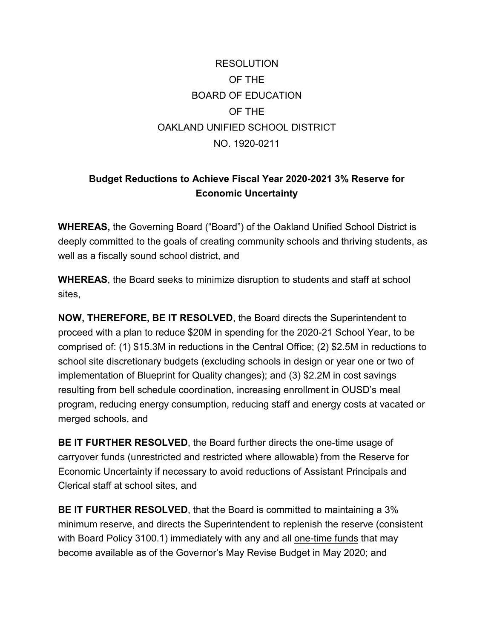## RESOLUTION OF THE BOARD OF EDUCATION OF THE OAKLAND UNIFIED SCHOOL DISTRICT NO. 1920-0211

## **Budget Reductions to Achieve Fiscal Year 2020-2021 3% Reserve for Economic Uncertainty**

**WHEREAS,** the Governing Board ("Board") of the Oakland Unified School District is deeply committed to the goals of creating community schools and thriving students, as well as a fiscally sound school district, and

**WHEREAS**, the Board seeks to minimize disruption to students and staff at school sites,

**NOW, THEREFORE, BE IT RESOLVED**, the Board directs the Superintendent to proceed with a plan to reduce \$20M in spending for the 2020-21 School Year, to be comprised of: (1) \$15.3M in reductions in the Central Office; (2) \$2.5M in reductions to school site discretionary budgets (excluding schools in design or year one or two of implementation of Blueprint for Quality changes); and (3) \$2.2M in cost savings resulting from bell schedule coordination, increasing enrollment in OUSD's meal program, reducing energy consumption, reducing staff and energy costs at vacated or merged schools, and

**BE IT FURTHER RESOLVED**, the Board further directs the one-time usage of carryover funds (unrestricted and restricted where allowable) from the Reserve for Economic Uncertainty if necessary to avoid reductions of Assistant Principals and Clerical staff at school sites, and

**BE IT FURTHER RESOLVED**, that the Board is committed to maintaining a 3% minimum reserve, and directs the Superintendent to replenish the reserve (consistent with Board Policy 3100.1) immediately with any and all one-time funds that may become available as of the Governor's May Revise Budget in May 2020; and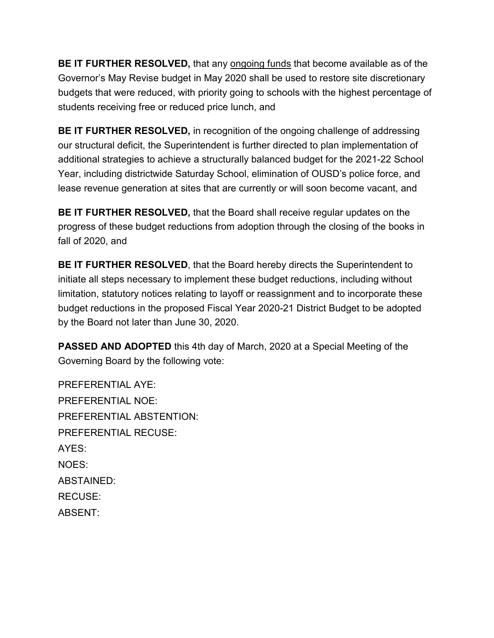**BE IT FURTHER RESOLVED,** that any ongoing funds that become available as of the Governor's May Revise budget in May 2020 shall be used to restore site discretionary budgets that were reduced, with priority going to schools with the highest percentage of students receiving free or reduced price lunch, and

**BE IT FURTHER RESOLVED,** in recognition of the ongoing challenge of addressing our structural deficit, the Superintendent is further directed to plan implementation of additional strategies to achieve a structurally balanced budget for the 2021-22 School Year, including districtwide Saturday School, elimination of OUSD's police force, and lease revenue generation at sites that are currently or will soon become vacant, and

**BE IT FURTHER RESOLVED,** that the Board shall receive regular updates on the progress of these budget reductions from adoption through the closing of the books in fall of 2020, and

**BE IT FURTHER RESOLVED**, that the Board hereby directs the Superintendent to initiate all steps necessary to implement these budget reductions, including without limitation, statutory notices relating to layoff or reassignment and to incorporate these budget reductions in the proposed Fiscal Year 2020-21 District Budget to be adopted by the Board not later than June 30, 2020.

**PASSED AND ADOPTED** this 4th day of March, 2020 at a Special Meeting of the Governing Board by the following vote:

PREFERENTIAL AYE: PREFERENTIAL NOE: PREFERENTIAL ABSTENTION: PREFERENTIAL RECUSE: AYES: NOES: ABSTAINED: RECUSE: ABSENT: